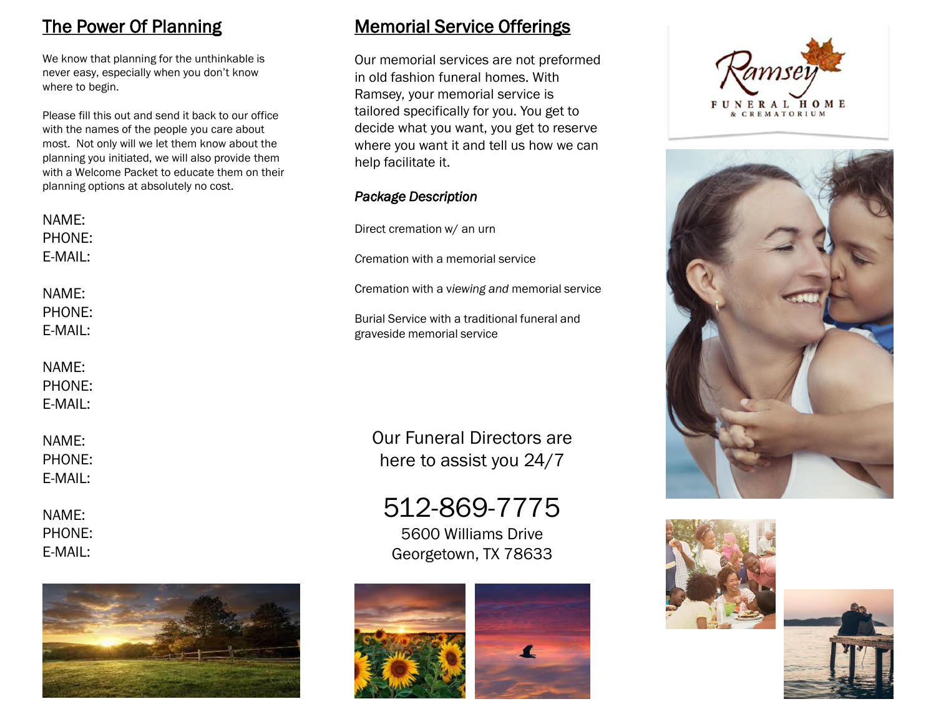## The Power Of Planning

We know that planning for the unthinkable is never easy, especially when you don't know where to begin.

Please fill this out and send it back to our office with the names of the people you care about most. Not only will we let them know about the planning you initiated, we will also provide them with a Welcome Packet to educate them on their planning options at absolutely no cost.

| NAME:<br>PHONE:            | Dire         |
|----------------------------|--------------|
| E-MAIL:                    | Crer         |
| NAME:                      | Crer         |
| PHONE:<br>E-MAIL:          | Buri<br>grav |
| NAME:<br>PHONE:<br>E-MAIL: |              |

NAME: PHONE: E-MAIL:

NAME: PHONE: E-MAIL:



### Memorial Service Offerings

Our memorial services are not preformed in old fashion funeral homes. With Ramsey, your memorial service is tailored specifically for you. You get to decide what you want, you get to reserve where you want it and tell us how we can help facilitate it.

### *Package Description*

ect cremation w/ an urn

mation with a memorial service

mation with a viewing and memorial service

ial Service with a traditional funeral and eside memorial service

Our Funeral Directors are here to assist you 24/7

# 512-869-7775

5600 Williams Drive Georgetown, TX 78633